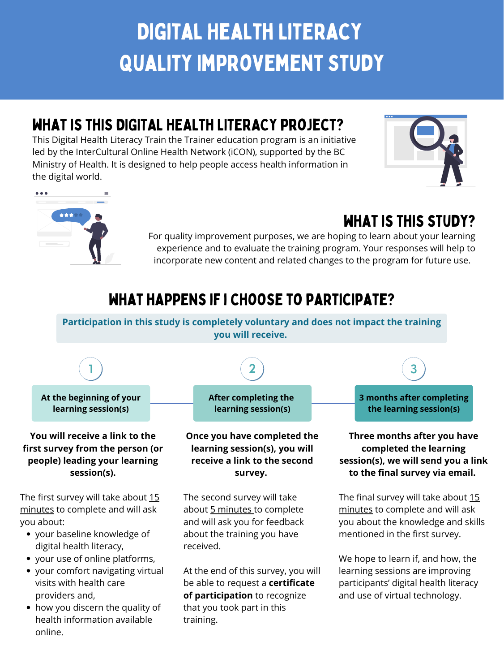**1 2 3**

**Participation in this study is completely voluntary and does not impact the training you will receive.**

**At the beginning of your learning session(s)**

**After completing the learning session(s)**

**3 months after completing the learning session(s)**

# what happens if i choose to participate?

# Digital Health Literacy Quality Improvement Study

# WHAT IS THIS DIGITAL HEALTH LITERACY PROJECT?

This Digital Health Literacy Train the Trainer education program is an initiative led by the InterCultural Online Health Network (iCON), supported by the BC Ministry of Health. It is designed to help people access health information in the digital world.





# WHAT IS THIS STUDY?

The first survey will take about 15 minutes to complete and will ask you about:

For quality improvement purposes, we are hoping to learn about your learning experience and to evaluate the training program. Your responses will help to incorporate new content and related changes to the program for future use.

> The final survey will take about 15 minutes to complete and will ask you about the knowledge and skills mentioned in the first survey.

- your baseline knowledge of digital health literacy,
- your use of online platforms,
- your comfort navigating virtual visits with health care providers and,
- how you discern the quality of health information available online.

**You will receive a link to the first survey from the person (or people) leading your learning session(s).**

**Once you have completed the learning session(s), you will receive a link to the second survey.**

The second survey will take about 5 minutes to complete and will ask you for feedback about the training you have received.

At the end of this survey, you will be able to request a **certificate of participation** to recognize that you took part in this training.

**Three months after you have completed the learning session(s), we will send you a link to the final survey via email.**

We hope to learn if, and how, the learning sessions are improving participants' digital health literacy and use of virtual technology.